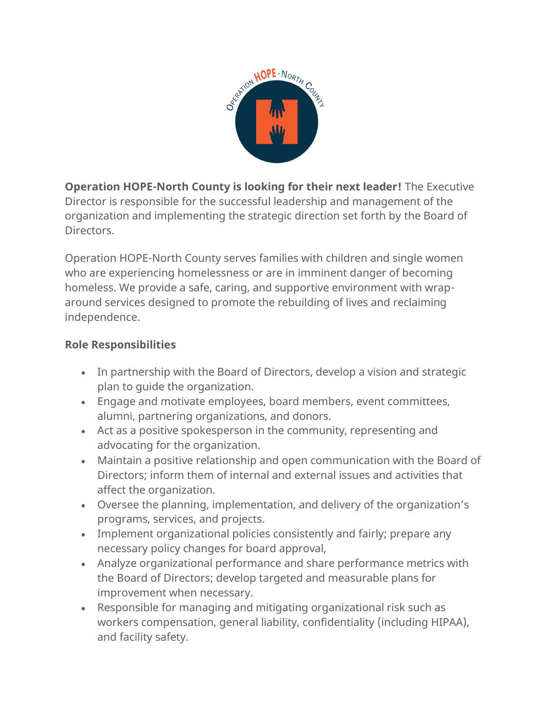

**Operation HOPE-North County is looking for their next leader!** The Executive Director is responsible for the successful leadership and management of the organization and implementing the strategic direction set forth by the Board of Directors.

Operation HOPE-North County serves families with children and single women who are experiencing homelessness or are in imminent danger of becoming homeless. We provide a safe, caring, and supportive environment with wraparound services designed to promote the rebuilding of lives and reclaiming independence.

## **Role Responsibilities**

- In partnership with the Board of Directors, develop a vision and strategic plan to guide the organization.
- Engage and motivate employees, board members, event committees, alumni, partnering organizations, and donors.
- Act as a positive spokesperson in the community, representing and advocating for the organization.
- Maintain a positive relationship and open communication with the Board of Directors; inform them of internal and external issues and activities that affect the organization.
- Oversee the planning, implementation, and delivery of the organization's programs, services, and projects.
- Implement organizational policies consistently and fairly; prepare any necessary policy changes for board approval,
- Analyze organizational performance and share performance metrics with the Board of Directors; develop targeted and measurable plans for improvement when necessary.
- Responsible for managing and mitigating organizational risk such as workers compensation, general liability, confidentiality (including HIPAA), and facility safety.